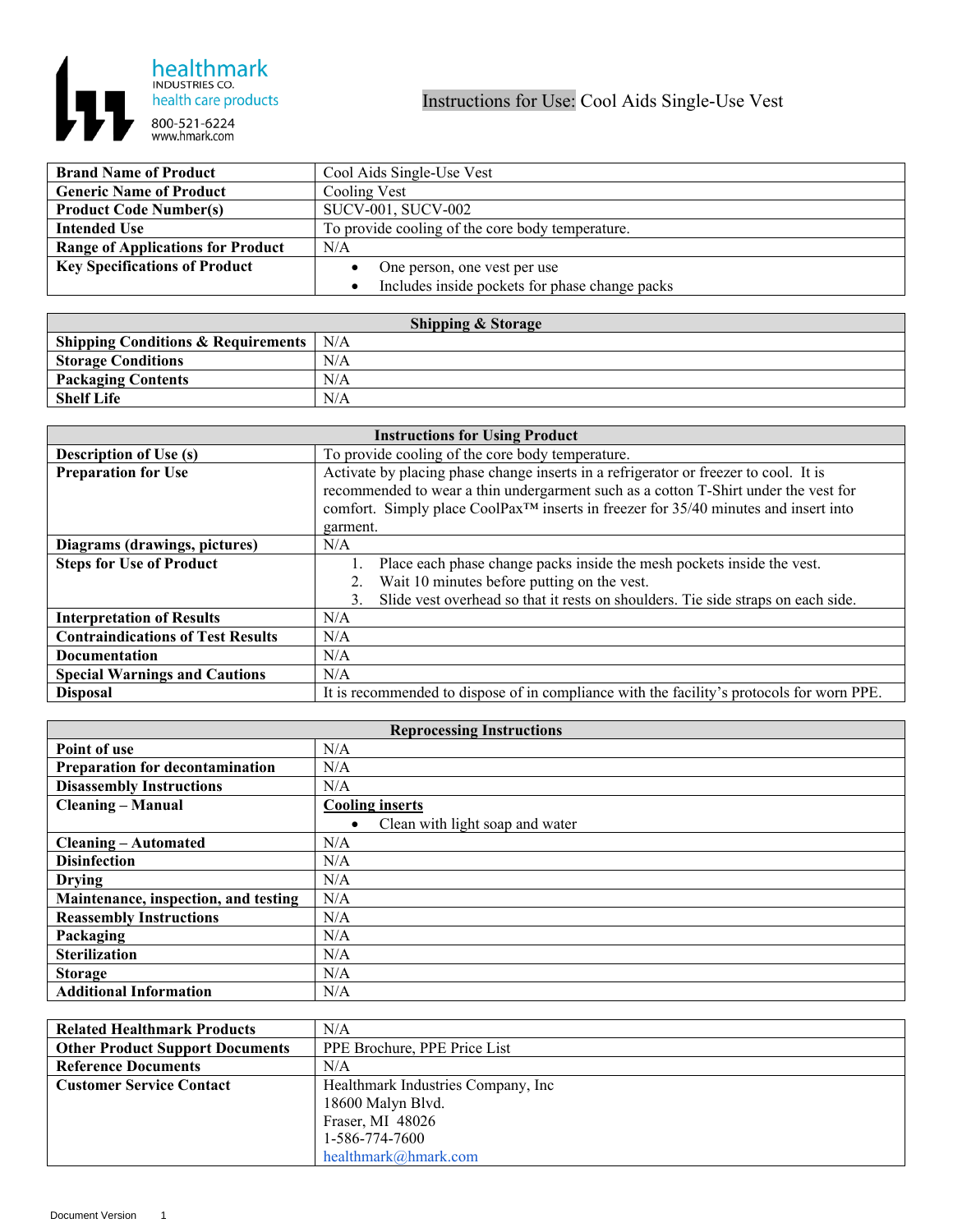

| <b>Brand Name of Product</b>             | Cool Aids Single-Use Vest                                   |
|------------------------------------------|-------------------------------------------------------------|
| <b>Generic Name of Product</b>           | Cooling Vest                                                |
| <b>Product Code Number(s)</b>            | SUCV-001, SUCV-002                                          |
| <b>Intended Use</b>                      | To provide cooling of the core body temperature.            |
| <b>Range of Applications for Product</b> | N/A                                                         |
| <b>Key Specifications of Product</b>     | One person, one vest per use                                |
|                                          | Includes inside pockets for phase change packs<br>$\bullet$ |

| <b>Shipping &amp; Storage</b>                 |     |  |
|-----------------------------------------------|-----|--|
| Shipping Conditions & Requirements $\mid$ N/A |     |  |
| <b>Storage Conditions</b>                     | N/A |  |
| <b>Packaging Contents</b>                     | N/A |  |
| <b>Shelf Life</b>                             | N/A |  |

| <b>Instructions for Using Product</b>    |                                                                                                 |  |
|------------------------------------------|-------------------------------------------------------------------------------------------------|--|
| <b>Description of Use (s)</b>            | To provide cooling of the core body temperature.                                                |  |
| <b>Preparation for Use</b>               | Activate by placing phase change inserts in a refrigerator or freezer to cool. It is            |  |
|                                          | recommended to wear a thin undergarment such as a cotton T-Shirt under the vest for             |  |
|                                          | comfort. Simply place CoolPax <sup>™</sup> inserts in freezer for 35/40 minutes and insert into |  |
|                                          | garment.                                                                                        |  |
| Diagrams (drawings, pictures)            | N/A                                                                                             |  |
| <b>Steps for Use of Product</b>          | Place each phase change packs inside the mesh pockets inside the vest.                          |  |
|                                          | Wait 10 minutes before putting on the vest.                                                     |  |
|                                          | Slide vest overhead so that it rests on shoulders. Tie side straps on each side.<br>3.          |  |
| <b>Interpretation of Results</b>         | N/A                                                                                             |  |
| <b>Contraindications of Test Results</b> | N/A                                                                                             |  |
| <b>Documentation</b>                     | N/A                                                                                             |  |
| <b>Special Warnings and Cautions</b>     | N/A                                                                                             |  |
| <b>Disposal</b>                          | It is recommended to dispose of in compliance with the facility's protocols for worn PPE.       |  |

| <b>Reprocessing Instructions</b>     |                                              |  |
|--------------------------------------|----------------------------------------------|--|
| Point of use                         | N/A                                          |  |
| Preparation for decontamination      | N/A                                          |  |
| <b>Disassembly Instructions</b>      | N/A                                          |  |
| <b>Cleaning – Manual</b>             | <b>Cooling inserts</b>                       |  |
|                                      | Clean with light soap and water<br>$\bullet$ |  |
| <b>Cleaning – Automated</b>          | N/A                                          |  |
| <b>Disinfection</b>                  | N/A                                          |  |
| <b>Drying</b>                        | N/A                                          |  |
| Maintenance, inspection, and testing | N/A                                          |  |
| <b>Reassembly Instructions</b>       | N/A                                          |  |
| Packaging                            | N/A                                          |  |
| <b>Sterilization</b>                 | N/A                                          |  |
| <b>Storage</b>                       | N/A                                          |  |
| <b>Additional Information</b>        | N/A                                          |  |

| <b>Related Healthmark Products</b>     | N/A                                 |
|----------------------------------------|-------------------------------------|
| <b>Other Product Support Documents</b> | PPE Brochure, PPE Price List        |
| <b>Reference Documents</b>             | N/A                                 |
| <b>Customer Service Contact</b>        | Healthmark Industries Company, Inc. |
|                                        | 18600 Malyn Blvd.                   |
|                                        | Fraser, MI 48026                    |
|                                        | 1-586-774-7600                      |
|                                        | healthmark@hmark.com                |